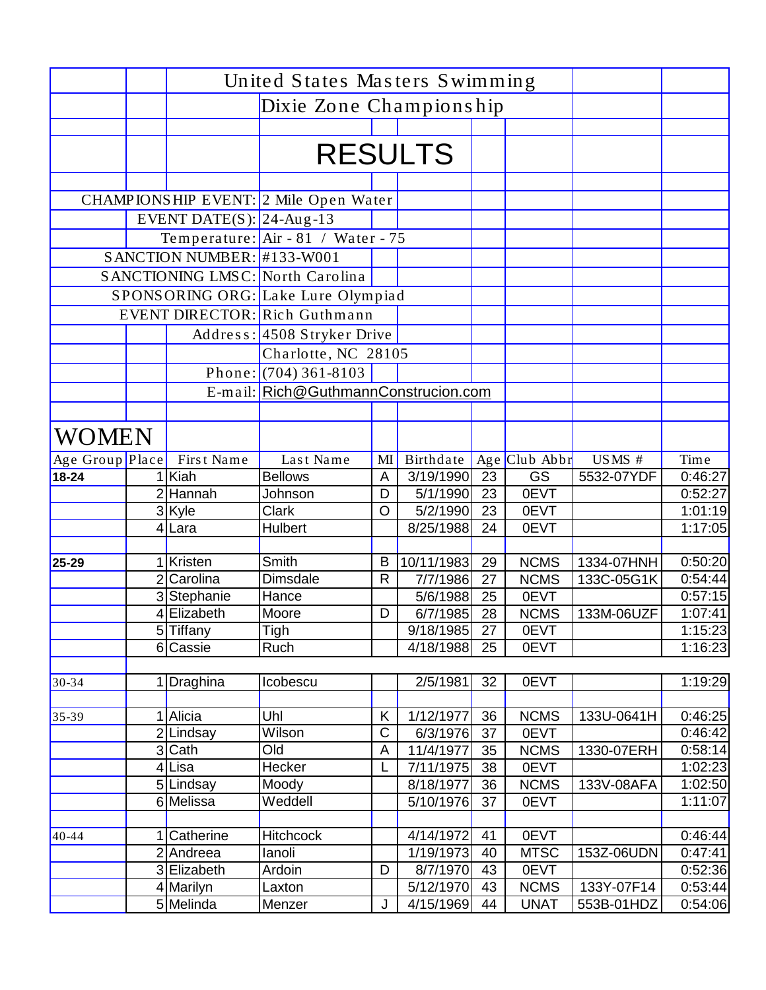|                 | United States Masters Swimming |                                         |              |                       |                       |                     |                     |                          |
|-----------------|--------------------------------|-----------------------------------------|--------------|-----------------------|-----------------------|---------------------|---------------------|--------------------------|
|                 |                                | Dixie Zone Championship                 |              |                       |                       |                     |                     |                          |
|                 |                                |                                         |              |                       |                       |                     |                     |                          |
|                 |                                |                                         |              | <b>RESULTS</b>        |                       |                     |                     |                          |
|                 |                                |                                         |              |                       |                       |                     |                     |                          |
|                 |                                |                                         |              |                       |                       |                     |                     |                          |
|                 |                                | CHAMPIONSHIP EVENT: 2 Mile Open Water   |              |                       |                       |                     |                     |                          |
|                 | EVENT DATE(S): $ 24-Aug-13 $   |                                         |              |                       |                       |                     |                     |                          |
|                 |                                | Temperature: $Air -81$ / Water - 75     |              |                       |                       |                     |                     |                          |
|                 | SANCTION NUMBER: #133-W001     |                                         |              |                       |                       |                     |                     |                          |
|                 |                                | <b>SANCTIONING LMSC: North Carolina</b> |              |                       |                       |                     |                     |                          |
|                 |                                | SPONSORING ORG: Lake Lure Olympiad      |              |                       |                       |                     |                     |                          |
|                 |                                | EVENT DIRECTOR: Rich Guthmann           |              |                       |                       |                     |                     |                          |
|                 |                                | Address: 4508 Stryker Drive             |              |                       |                       |                     |                     |                          |
|                 |                                | Charlotte, NC 28105                     |              |                       |                       |                     |                     |                          |
|                 |                                | Phone: $(704)$ 361-8103                 |              |                       |                       |                     |                     |                          |
|                 |                                | E-mail: Rich@GuthmannConstrucion.com    |              |                       |                       |                     |                     |                          |
|                 |                                |                                         |              |                       |                       |                     |                     |                          |
| <b>WOMEN</b>    |                                |                                         |              |                       |                       |                     |                     |                          |
| Age Group Place | First Name                     | Last Name                               | MI           | Birthdate             |                       | Age Club Abbr       | $\overline{USMS}$ # | $\overline{\text{Time}}$ |
| $18 - 24$       | 1 Kiah                         | <b>Bellows</b>                          | A            | 3/19/1990             | 23                    | <b>GS</b>           | 5532-07YDF          | 0:46:27                  |
|                 | 2Hannah                        | Johnson                                 | D            | 5/1/1990              | 23                    | 0EVT                |                     | 0:52:27                  |
|                 | 3 Kyle                         | <b>Clark</b>                            | $\circ$      | 5/2/1990              | 23                    | 0EVT                |                     | 1:01:19                  |
|                 | 4 Lara                         | Hulbert                                 |              | 8/25/1988             | 24                    | 0EVT                |                     | 1:17:05                  |
|                 |                                |                                         |              |                       |                       |                     |                     |                          |
| 25-29           | Kristen                        | Smith                                   | B            | 10/11/1983            | 29                    | <b>NCMS</b>         | 1334-07HNH          | 0:50:20                  |
|                 | 2 Carolina                     | <b>Dimsdale</b>                         | $\mathsf{R}$ | 7/7/1986              | 27                    | <b>NCMS</b>         | 133C-05G1K          | 0:54:44                  |
|                 | 3 Stephanie<br>4 Elizabeth     | <b>Hance</b>                            |              | 5/6/1988              | 25                    | 0EVT                |                     | 0:57:15                  |
|                 | 5 Tiffany                      | Moore<br>Tigh                           | D            | 6/7/1985<br>9/18/1985 | 28<br>$\overline{27}$ | <b>NCMS</b><br>0EVT | 133M-06UZF          | 1:07:41<br>1:15:23       |
|                 | 6 Cassie                       | Ruch                                    |              | 4/18/1988             | 25                    | 0EVT                |                     | 1:16:23                  |
|                 |                                |                                         |              |                       |                       |                     |                     |                          |
| $30 - 34$       | 1 Draghina                     | Icobescu                                |              | 2/5/1981              | 32                    | 0EVT                |                     | 1:19:29                  |
| $35-39$         | 1 Alicia                       | Uhl                                     | Κ            | 1/12/1977             | 36                    | <b>NCMS</b>         | 133U-0641H          | 0:46:25                  |
|                 | $\overline{2}$ Lindsay         | Wilson                                  | $\mathsf C$  | 6/3/1976              | 37                    | 0EVT                |                     | 0:46:42                  |
|                 | 3 Cath                         | Old                                     | A            | 11/4/1977             | 35                    | <b>NCMS</b>         | 1330-07ERH          | 0:58:14                  |
|                 | 4Lisa                          | Hecker                                  |              | 7/11/1975             | 38                    | 0EVT                |                     | 1:02:23                  |
|                 | 5Lindsay                       | Moody                                   |              | 8/18/1977             | 36                    | <b>NCMS</b>         | 133V-08AFA          | 1:02:50                  |
|                 | 6 Melissa                      | Weddell                                 |              | 5/10/1976             | 37                    | 0EVT                |                     | 1:11:07                  |
|                 |                                |                                         |              |                       |                       |                     |                     |                          |
| $40 - 44$       | 1 Catherine                    | <b>Hitchcock</b>                        |              | 4/14/1972             | 41                    | 0EVT                |                     | 0:46:44                  |
|                 | 2 Andreea                      | lanoli                                  |              | 1/19/1973             | 40                    | <b>MTSC</b>         | 153Z-06UDN          | 0:47:41                  |
|                 | 3 Elizabeth                    | Ardoin                                  | D            | 8/7/1970              | 43                    | 0EVT                |                     | 0:52:36                  |
|                 | 4 Marilyn                      | Laxton                                  |              | 5/12/1970             | 43                    | <b>NCMS</b>         | 133Y-07F14          | 0:53:44                  |
|                 | 5 Melinda                      | Menzer                                  | J            | 4/15/1969             | 44                    | <b>UNAT</b>         | 553B-01HDZ          | 0:54:06                  |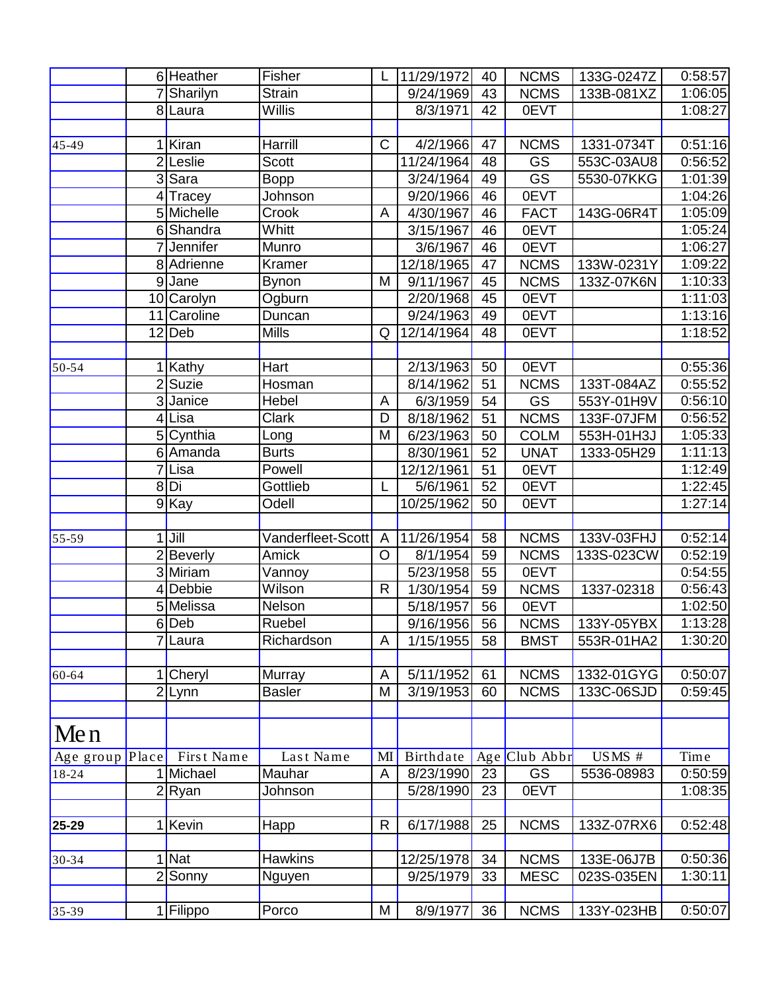|                 |                | 6 Heather           | Fisher            |                | 11/29/1972             | 40 | <b>NCMS</b>            | 133G-0247Z | 0:58:57 |
|-----------------|----------------|---------------------|-------------------|----------------|------------------------|----|------------------------|------------|---------|
|                 |                | 7 Sharilyn          | Strain            |                | 9/24/1969              | 43 | <b>NCMS</b>            | 133B-081XZ | 1:06:05 |
|                 |                | 8 Laura             | Willis            |                | 8/3/1971               | 42 | 0EVT                   |            | 1:08:27 |
|                 |                |                     |                   |                |                        |    |                        |            |         |
| 45-49           |                | Kiran               | Harrill           | $\mathsf{C}$   | $\frac{4}{2}$ /1966    | 47 | <b>NCMS</b>            | 1331-0734T | 0:51:16 |
|                 |                | 2Leslie             | <b>Scott</b>      |                | 11/24/1964             | 48 | GS                     | 553C-03AU8 | 0:56:52 |
|                 |                | $3$ Sara            | <b>Bopp</b>       |                | 3/24/1964              | 49 | $\overline{\text{GS}}$ | 5530-07KKG | 1:01:39 |
|                 |                | 4Tracey             | Johnson           |                | 9/20/1966              | 46 | 0EVT                   |            | 1:04:26 |
|                 |                | 5 Michelle          | Crook             | A              | 4/30/1967              | 46 | <b>FACT</b>            | 143G-06R4T | 1:05:09 |
|                 |                | 6Shandra            | Whitt             |                | 3/15/1967              | 46 | 0EVT                   |            | 1:05:24 |
|                 |                | Jennifer            | Munro             |                | 3/6/1967               | 46 | 0EVT                   |            | 1:06:27 |
|                 |                | 8 Adrienne          | Kramer            |                | 12/18/1965             | 47 | <b>NCMS</b>            | 133W-0231Y | 1:09:22 |
|                 |                | 9Jane               | Bynon             | M              | 9/11/1967              | 45 | <b>NCMS</b>            | 133Z-07K6N | 1:10:33 |
|                 |                | 10 Carolyn          | Ogburn            |                | 2/20/1968              | 45 | 0EVT                   |            | 1:11:03 |
|                 |                | 11 Caroline         | Duncan            |                | 9/24/1963              | 49 | 0EVT                   |            | 1:13:16 |
|                 |                | $\overline{12}$ Deb | <b>Mills</b>      | Q              | 12/14/1964             | 48 | 0EVT                   |            | 1:18:52 |
|                 |                |                     |                   |                |                        |    |                        |            |         |
| 50-54           |                | 1 Kathy             | Hart              |                | 2/13/1963              | 50 | 0EVT                   |            | 0:55:36 |
|                 |                | 2 Suzie             | Hosman            |                | 8/14/1962              | 51 | <b>NCMS</b>            | 133T-084AZ | 0:55:52 |
|                 |                | 3Janice             | Hebel             | A              | 6/3/1959               | 54 | <b>GS</b>              | 553Y-01H9V | 0:56:10 |
|                 |                | 4Lisa               | <b>Clark</b>      | D              | 8/18/1962              | 51 | <b>NCMS</b>            | 133F-07JFM | 0:56:52 |
|                 |                | 5 Cynthia           | Long              | M              | 6/23/1963              | 50 | <b>COLM</b>            | 553H-01H3J | 1:05:33 |
|                 |                | 6 Amanda            | <b>Burts</b>      |                | 8/30/1961              | 52 | <b>UNAT</b>            | 1333-05H29 | 1:11:13 |
|                 | $\overline{7}$ | Lisa                | Powell            |                | 12/12/1961             | 51 | 0EVT                   |            | 1:12:49 |
|                 |                | 8Di                 | Gottlieb          | L              | 5/6/1961               | 52 | <b>OEVT</b>            |            | 1:22:45 |
|                 |                | 9Kay                | Odell             |                | 10/25/1962             | 50 | 0EVT                   |            | 1:27:14 |
|                 |                |                     |                   |                |                        |    |                        |            |         |
| 55-59           |                | $1$ Jill            | Vanderfleet-Scott | $\overline{A}$ | 11/26/1954             | 58 | <b>NCMS</b>            | 133V-03FHJ | 0:52:14 |
|                 |                | 2 Beverly           | Amick             | $\circ$        | 8/1/1954               | 59 | <b>NCMS</b>            | 133S-023CW | 0:52:19 |
|                 |                | 3 Miriam            | Vannoy            |                | 5/23/1958              | 55 | 0EVT                   |            | 0:54:55 |
|                 |                | 4 Debbie            | Wilson            | $\mathsf{R}$   | 1/30/1954              | 59 | <b>NCMS</b>            | 1337-02318 | 0:56:43 |
|                 |                | 5 Melissa           | Nelson            |                | 5/18/1957              | 56 | 0EVT                   |            | 1:02:50 |
|                 |                | 6 Deb               | Ruebel            |                | 9/16/1956              | 56 | <b>NCMS</b>            | 133Y-05YBX | 1:13:28 |
|                 |                | 7Laura              | Richardson        | A              | 1/15/1955              | 58 | <b>BMST</b>            | 553R-01HA2 | 1:30:20 |
|                 |                |                     |                   |                |                        |    |                        |            |         |
| 60-64           |                | Cheryl              | Murray            | A              | $\overline{5}/11/1952$ | 61 | <b>NCMS</b>            | 1332-01GYG | 0:50:07 |
|                 |                | 2Lynn               | <b>Basler</b>     | M              | 3/19/1953              | 60 | <b>NCMS</b>            | 133C-06SJD | 0:59:45 |
|                 |                |                     |                   |                |                        |    |                        |            |         |
| Men             |                |                     |                   |                |                        |    |                        |            |         |
| Age group Place |                | First Name          | Last Name         | MI             | Birthdate              |    | Age Club Abbr          | USMS#      | Time    |
| 18-24           |                | Michael             | Mauhar            | A              | 8/23/1990              | 23 | GS                     | 5536-08983 | 0:50:59 |
|                 |                | $2$ Ryan            | Johnson           |                | 5/28/1990              | 23 | 0EVT                   |            | 1:08:35 |
|                 |                |                     |                   |                |                        |    |                        |            |         |
| 25-29           |                | 1 Kevin             | Happ              | R              | 6/17/1988              | 25 | <b>NCMS</b>            | 133Z-07RX6 | 0:52:48 |
|                 |                |                     |                   |                |                        |    |                        |            |         |
| 30-34           |                | 1 Nat               | <b>Hawkins</b>    |                | 12/25/1978             | 34 | <b>NCMS</b>            | 133E-06J7B | 0:50:36 |
|                 |                | 2 Sonny             | Nguyen            |                | 9/25/1979              | 33 | <b>MESC</b>            | 023S-035EN | 1:30:11 |
|                 |                |                     |                   |                |                        |    |                        |            |         |
| $35-39$         |                | 1 Filippo           | Porco             | M              | 8/9/1977               | 36 | <b>NCMS</b>            | 133Y-023HB | 0:50:07 |
|                 |                |                     |                   |                |                        |    |                        |            |         |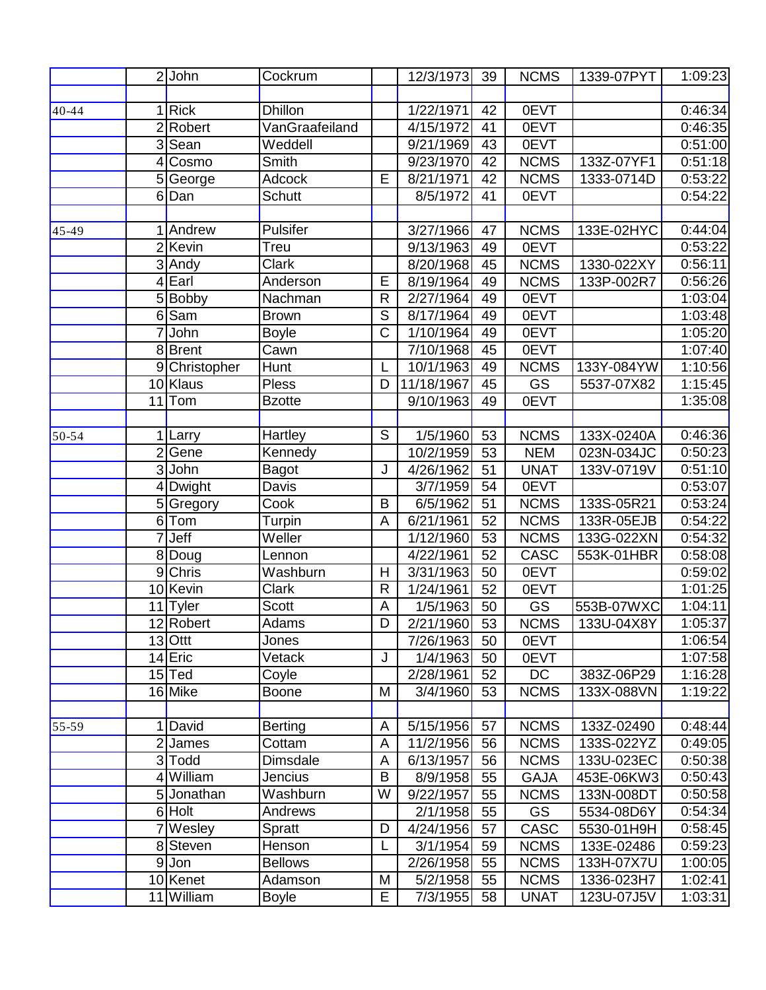|           |                | $\overline{2}$ John | Cockrum         |                       | 12/3/1973              | 39 | <b>NCMS</b> | 1339-07PYT | 1:09:23 |
|-----------|----------------|---------------------|-----------------|-----------------------|------------------------|----|-------------|------------|---------|
|           |                |                     |                 |                       |                        |    |             |            |         |
| 40-44     |                | 1 Rick              | <b>Dhillon</b>  |                       | 1/22/1971              | 42 | 0EVT        |            | 0:46:34 |
|           | $\overline{2}$ | Robert              | VanGraafeiland  |                       | $\frac{4}{15/1972}$    | 41 | 0EVT        |            | 0:46:35 |
|           |                | 3 Sean              | Weddell         |                       | $\frac{1}{9}{21}/1969$ | 43 | 0EVT        |            | 0:51:00 |
|           | 4              | Cosmo               | Smith           |                       | 9/23/1970              | 42 | <b>NCMS</b> | 133Z-07YF1 | 0:51:18 |
|           |                | 5 George            | Adcock          | E                     | 8/21/1971              | 42 | <b>NCMS</b> | 1333-0714D | 0:53:22 |
|           |                | 6Dan                | Schutt          |                       | 8/5/1972               | 41 | 0EVT        |            | 0:54:22 |
| $45 - 49$ |                | 1 Andrew            | Pulsifer        |                       | 3/27/1966              | 47 | <b>NCMS</b> | 133E-02HYC | 0:44:04 |
|           |                | 2Kevin              | Treu            |                       | 9/13/1963              | 49 | 0EVT        |            | 0:53:22 |
|           |                | $\overline{3}$ Andy | <b>Clark</b>    |                       | 8/20/1968              | 45 | <b>NCMS</b> | 1330-022XY | 0:56:11 |
|           |                | 4 Earl              | Anderson        | Ē                     | 8/19/1964              | 49 | <b>NCMS</b> | 133P-002R7 | 0:56:26 |
|           |                | 5 Bobby             | Nachman         | $\mathsf{R}$          | 2/27/1964              | 49 | 0EVT        |            | 1:03:04 |
|           |                | 6 <sup>Sam</sup>    | <b>Brown</b>    | $\overline{S}$        | 8/17/1964              | 49 | 0EVT        |            | 1:03:48 |
|           |                | 7 John              | <b>Boyle</b>    | $\overline{\text{C}}$ | 1/10/1964              | 49 | 0EVT        |            | 1:05:20 |
|           |                | 8Brent              | Cawn            |                       | 7/10/1968              | 45 | 0EVT        |            | 1:07:40 |
|           |                | 9 Christopher       | <b>Hunt</b>     |                       | 10/1/1963              | 49 | <b>NCMS</b> | 133Y-084YW | 1:10:56 |
|           |                | 10 Klaus            | <b>Pless</b>    | D                     | 11/18/1967             | 45 | GS          | 5537-07X82 | 1:15:45 |
|           | 11             | Tom                 | <b>Bzotte</b>   |                       | 9/10/1963              | 49 | 0EVT        |            | 1:35:08 |
| $50 - 54$ |                | Larry               | Hartley         | S                     | 1/5/1960               | 53 | <b>NCMS</b> | 133X-0240A | 0:46:36 |
|           |                | 2Gene               | Kennedy         |                       | 10/2/1959              | 53 | <b>NEM</b>  | 023N-034JC | 0:50:23 |
|           |                | $3$ John            | <b>Bagot</b>    | J                     | 4/26/1962              | 51 | <b>UNAT</b> | 133V-0719V | 0:51:10 |
|           |                | 4 Dwight            | Davis           |                       | 3/7/1959               | 54 | 0EVT        |            | 0:53:07 |
|           |                | 5 Gregory           | Cook            | B                     | 6/5/1962               | 51 | <b>NCMS</b> | 133S-05R21 | 0:53:24 |
|           |                | $6$ Tom             | <b>Turpin</b>   | A                     | 6/21/1961              | 52 | <b>NCMS</b> | 133R-05EJB | 0:54:22 |
|           |                | $7$ Jeff            | Weller          |                       | 1/12/1960              | 53 | <b>NCMS</b> | 133G-022XN | 0:54:32 |
|           |                | 8 Doug              | Lennon          |                       | 4/22/1961              | 52 | <b>CASC</b> | 553K-01HBR | 0:58:08 |
|           |                | 9 Chris             | Washburn        | H                     | 3/31/1963              | 50 | 0EVT        |            | 0:59:02 |
|           |                | 10 Kevin            | Clark           | $\mathsf{R}$          | 1/24/1961              | 52 | 0EVT        |            | 1:01:25 |
|           |                | 11 Tyler            | <b>Scott</b>    | A                     | 1/5/1963               | 50 | <b>GS</b>   | 553B-07WXC | 1:04:11 |
|           |                | 12 Robert           | Adams           | D                     | 2/21/1960              | 53 | <b>NCMS</b> | 133U-04X8Y | 1:05:37 |
|           |                | $13$ Ottt           | Jones           |                       | 7/26/1963              | 50 | 0EVT        |            | 1:06:54 |
|           |                | 14 Eric             | Vetack          | J                     | 1/4/1963               | 50 | 0EVT        |            | 1:07:58 |
|           |                | $15$ Ted            | Coyle           |                       | 2/28/1961              | 52 | DC          | 383Z-06P29 | 1:16:28 |
|           |                | 16 Mike             | Boone           | M                     | 3/4/1960               | 53 | <b>NCMS</b> | 133X-088VN | 1:19:22 |
| $55 - 59$ |                | 1 David             | Berting         | A                     | 5/15/1956              | 57 | <b>NCMS</b> | 133Z-02490 | 0:48:44 |
|           |                | 2 James             | Cottam          | A                     | 11/2/1956              | 56 | <b>NCMS</b> | 133S-022YZ | 0:49:05 |
|           |                | 3 Todd              | <b>Dimsdale</b> | A                     | 6/13/1957              | 56 | <b>NCMS</b> | 133U-023EC | 0:50:38 |
|           |                | 4 William           | Jencius         | B                     | 8/9/1958               | 55 | <b>GAJA</b> | 453E-06KW3 | 0:50:43 |
|           |                | 5 Jonathan          | Washburn        | W                     | 9/22/1957              | 55 | <b>NCMS</b> | 133N-008DT | 0:50:58 |
|           |                | 6 Holt              | Andrews         |                       | 2/1/1958               | 55 | GS          | 5534-08D6Y | 0:54:34 |
|           |                | 7Wesley             | Spratt          | D                     | 4/24/1956              | 57 | <b>CASC</b> | 5530-01H9H | 0:58:45 |
|           |                | 8 Steven            | Henson          |                       | 3/1/1954               | 59 | <b>NCMS</b> | 133E-02486 | 0:59:23 |
|           |                | 9 Jon               | <b>Bellows</b>  |                       | 2/26/1958              | 55 | <b>NCMS</b> | 133H-07X7U | 1:00:05 |
|           |                | 10 Kenet            | Adamson         | M                     | 5/2/1958               | 55 | <b>NCMS</b> | 1336-023H7 | 1:02:41 |
|           |                | 11 William          | Boyle           | E                     | 7/3/1955               | 58 | <b>UNAT</b> | 123U-07J5V | 1:03:31 |
|           |                |                     |                 |                       |                        |    |             |            |         |